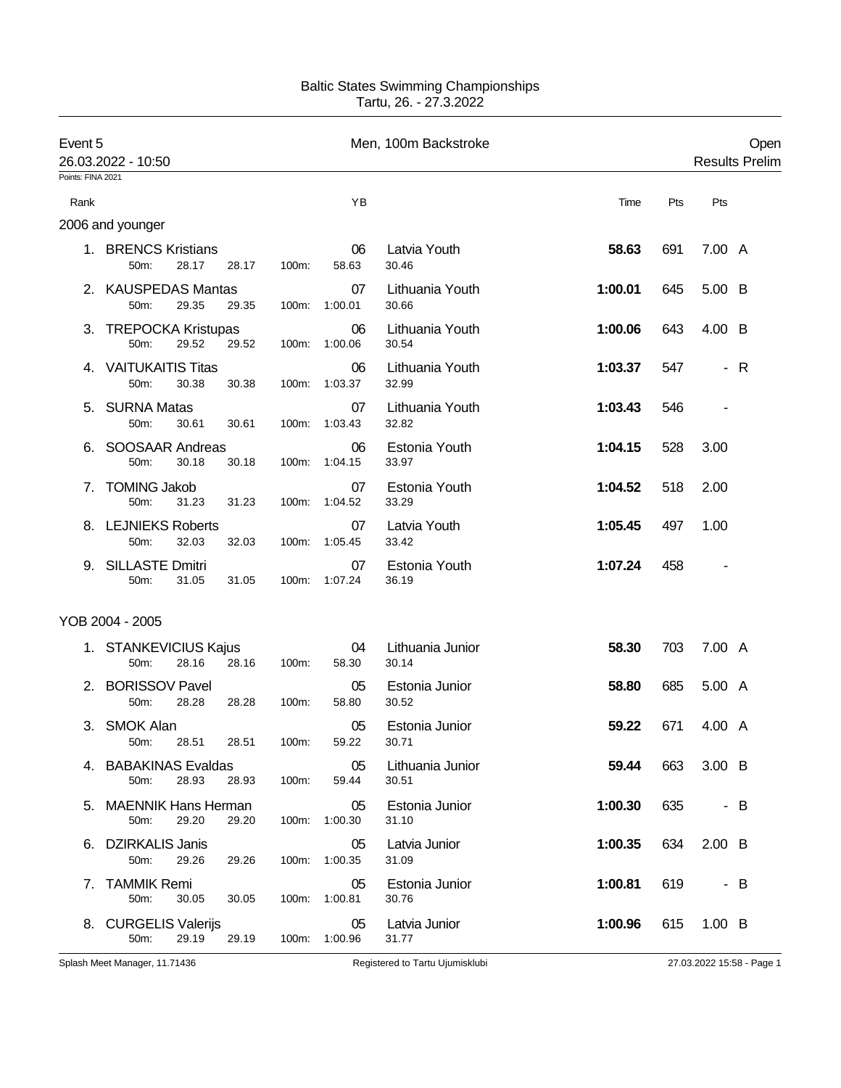## Baltic States Swimming Championships Tartu, 26. - 27.3.2022

| Event 5<br>26.03.2022 - 10:50<br>Points: FINA 2021 |                                             |       |          | Men, 100m Backstroke |                           |         | Open<br><b>Results Prelim</b> |               |     |
|----------------------------------------------------|---------------------------------------------|-------|----------|----------------------|---------------------------|---------|-------------------------------|---------------|-----|
|                                                    |                                             |       |          |                      |                           |         |                               |               |     |
| Rank                                               | 2006 and younger                            |       |          | ΥB                   |                           | Time    | Pts                           | Pts           |     |
|                                                    | 1. BRENCS Kristians<br>28.17<br>50m:        | 28.17 | 100m:    | 06<br>58.63          | Latvia Youth<br>30.46     | 58.63   | 691                           | 7.00 A        |     |
|                                                    | 2. KAUSPEDAS Mantas<br>29.35<br>50m:        | 29.35 | 100m:    | 07<br>1:00.01        | Lithuania Youth<br>30.66  | 1:00.01 | 645                           | 5.00 B        |     |
| 3.                                                 | <b>TREPOCKA Kristupas</b><br>29.52<br>50m:  | 29.52 | 100m:    | 06<br>1:00.06        | Lithuania Youth<br>30.54  | 1:00.06 | 643                           | 4.00 B        |     |
|                                                    | 4. VAITUKAITIS Titas<br>50m:<br>30.38       | 30.38 | 100m:    | 06<br>1:03.37        | Lithuania Youth<br>32.99  | 1:03.37 | 547                           |               | - R |
| 5.                                                 | <b>SURNA Matas</b><br>50m:<br>30.61         | 30.61 | 100m:    | 07<br>1:03.43        | Lithuania Youth<br>32.82  | 1:03.43 | 546                           |               |     |
|                                                    | SOOSAAR Andreas<br>50m:<br>30.18            | 30.18 | 100m:    | 06<br>1:04.15        | Estonia Youth<br>33.97    | 1:04.15 | 528                           | 3.00          |     |
| 7.                                                 | <b>TOMING Jakob</b><br>31.23<br>50m:        | 31.23 | $100m$ : | 07<br>1:04.52        | Estonia Youth<br>33.29    | 1:04.52 | 518                           | 2.00          |     |
|                                                    | 8. LEJNIEKS Roberts<br>32.03<br>50m:        | 32.03 | 100m:    | 07<br>1:05.45        | Latvia Youth<br>33.42     | 1:05.45 | 497                           | 1.00          |     |
|                                                    | 9. SILLASTE Dmitri<br>50m:<br>31.05         | 31.05 | 100m:    | 07<br>1:07.24        | Estonia Youth<br>36.19    | 1:07.24 | 458                           |               |     |
|                                                    | YOB 2004 - 2005                             |       |          |                      |                           |         |                               |               |     |
|                                                    | 1. STANKEVICIUS Kajus<br>28.16<br>50m:      | 28.16 | 100m:    | 04<br>58.30          | Lithuania Junior<br>30.14 | 58.30   | 703                           | 7.00 A        |     |
| 2.                                                 | <b>BORISSOV Pavel</b><br>28.28<br>50m:      | 28.28 | 100m:    | 05<br>58.80          | Estonia Junior<br>30.52   | 58.80   | 685                           | 5.00 A        |     |
|                                                    | 3. SMOK Alan<br>28.51 28.51<br>50m:         |       | 100m:    | 05<br>59.22          | Estonia Junior<br>30.71   | 59.22   | 671                           | 4.00 A        |     |
| 4.                                                 | <b>BABAKINAS Evaldas</b><br>28.93<br>50m:   | 28.93 | 100m:    | 05<br>59.44          | Lithuania Junior<br>30.51 | 59.44   | 663                           | 3.00 B        |     |
| 5.                                                 | <b>MAENNIK Hans Herman</b><br>29.20<br>50m: | 29.20 | 100m:    | 05<br>1:00.30        | Estonia Junior<br>31.10   | 1:00.30 | 635                           | - B           |     |
|                                                    | 6. DZIRKALIS Janis<br>29.26<br>50m:         | 29.26 | 100m:    | 05<br>1:00.35        | Latvia Junior<br>31.09    | 1:00.35 | 634                           | $2.00\quad B$ |     |
|                                                    | 7. TAMMIK Remi<br>50m:<br>30.05             | 30.05 | 100m:    | 05<br>1:00.81        | Estonia Junior<br>30.76   | 1:00.81 | 619                           |               | - в |
| 8.                                                 | <b>CURGELIS Valerijs</b><br>50m:<br>29.19   | 29.19 | 100m:    | 05<br>1:00.96        | Latvia Junior<br>31.77    | 1:00.96 | 615                           | $1.00\quad B$ |     |

Splash Meet Manager, 11.71436 **Registered to Tartu Ujumisklubi** 27.03.2022 15:58 - Page 1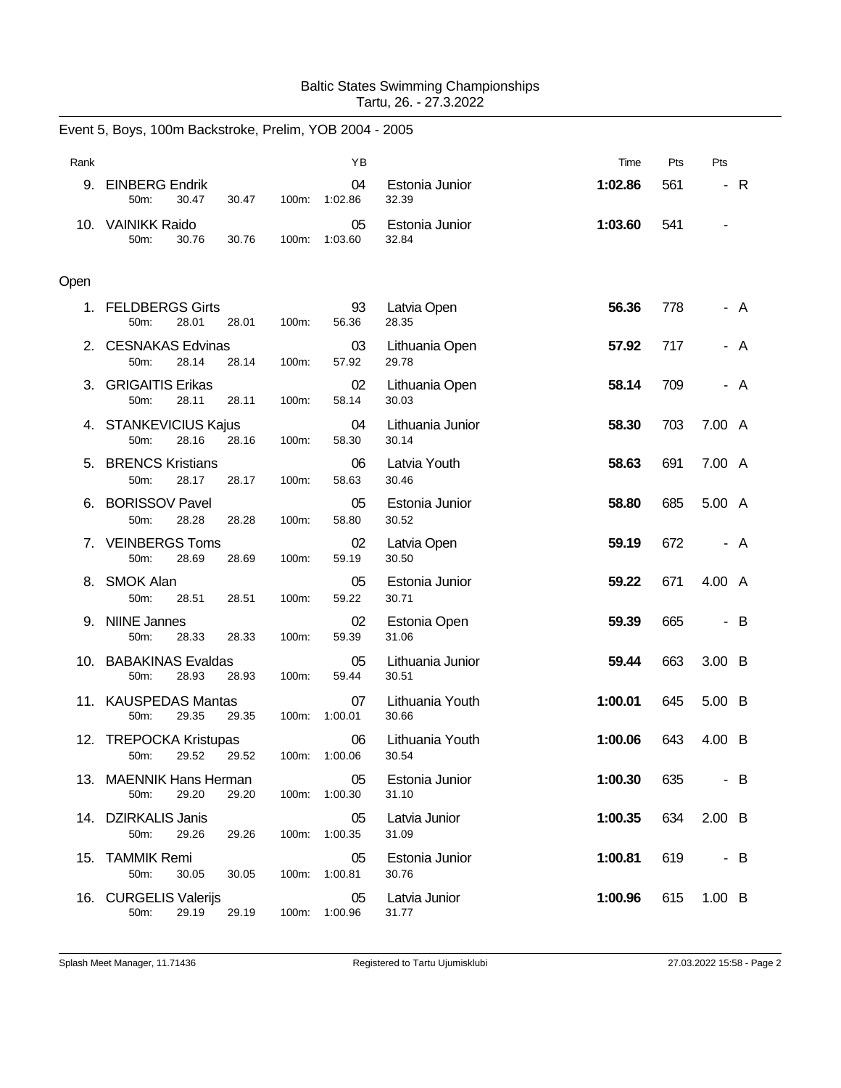## Baltic States Swimming Championships Tartu, 26. - 27.3.2022

|      | Event 5, Boys, 100m Backstroke, Prelim, YOB 2004 - 2005 |       |                     |                           |         |     |               |  |
|------|---------------------------------------------------------|-------|---------------------|---------------------------|---------|-----|---------------|--|
| Rank |                                                         |       | YB                  |                           | Time    | Pts | Pts           |  |
| 9.   | <b>EINBERG Endrik</b><br>50m:<br>30.47<br>30.47         | 100m: | 04<br>1:02.86       | Estonia Junior<br>32.39   | 1:02.86 | 561 | - R           |  |
|      | 10. VAINIKK Raido<br>30.76<br>50m:<br>30.76             | 100m: | 05<br>1:03.60       | Estonia Junior<br>32.84   | 1:03.60 | 541 |               |  |
| Open |                                                         |       |                     |                           |         |     |               |  |
|      | 1. FELDBERGS Girts<br>28.01<br>50m:<br>28.01            | 100m: | 93<br>56.36         | Latvia Open<br>28.35      | 56.36   | 778 | - A           |  |
| 2.   | <b>CESNAKAS Edvinas</b><br>50m:<br>28.14<br>28.14       | 100m: | 03<br>57.92         | Lithuania Open<br>29.78   | 57.92   | 717 | A             |  |
| 3.   | <b>GRIGAITIS Erikas</b><br>50m:<br>28.11<br>28.11       | 100m: | 02<br>58.14         | Lithuania Open<br>30.03   | 58.14   | 709 | - A           |  |
|      | 4. STANKEVICIUS Kajus<br>28.16<br>50m:<br>28.16         | 100m: | 04<br>58.30         | Lithuania Junior<br>30.14 | 58.30   | 703 | 7.00 A        |  |
| 5.   | <b>BRENCS Kristians</b><br>50m:<br>28.17<br>28.17       | 100m: | 06<br>58.63         | Latvia Youth<br>30.46     | 58.63   | 691 | 7.00 A        |  |
| 6.   | <b>BORISSOV Pavel</b><br>50m:<br>28.28<br>28.28         | 100m: | 05<br>58.80         | Estonia Junior<br>30.52   | 58.80   | 685 | 5.00 A        |  |
|      | 7. VEINBERGS Toms<br>50m:<br>28.69<br>28.69             | 100m: | 02<br>59.19         | Latvia Open<br>30.50      | 59.19   | 672 | - A           |  |
|      | 8. SMOK Alan<br>50m:<br>28.51<br>28.51                  | 100m: | 05<br>59.22         | Estonia Junior<br>30.71   | 59.22   | 671 | 4.00 A        |  |
| 9.   | <b>NIINE Jannes</b><br>28.33<br>50m:<br>28.33           | 100m: | 02<br>59.39         | Estonia Open<br>31.06     | 59.39   | 665 | - B           |  |
|      | 10. BABAKINAS Evaldas<br>28.93<br>50m:<br>28.93         | 100m: | 05<br>59.44         | Lithuania Junior<br>30.51 | 59.44   | 663 | 3.00 B        |  |
|      | 11. KAUSPEDAS Mantas<br>50m:<br>29.35<br>29.35          | 100m: | 07<br>1:00.01       | Lithuania Youth<br>30.66  | 1:00.01 | 645 | 5.00 B        |  |
|      | 12. TREPOCKA Kristupas<br>29.52<br>29.52<br>50m:        |       | 06<br>100m: 1:00.06 | Lithuania Youth<br>30.54  | 1:00.06 | 643 | 4.00 B        |  |
|      | 13. MAENNIK Hans Herman<br>50m:<br>29.20<br>29.20       | 100m: | 05<br>1:00.30       | Estonia Junior<br>31.10   | 1:00.30 | 635 | - B           |  |
|      | 14. DZIRKALIS Janis<br>50m:<br>29.26<br>29.26           | 100m: | 05<br>1:00.35       | Latvia Junior<br>31.09    | 1:00.35 | 634 | $2.00\quad B$ |  |
|      | 15. TAMMIK Remi<br>50m:<br>30.05<br>30.05               | 100m: | 05<br>1:00.81       | Estonia Junior<br>30.76   | 1:00.81 | 619 | $-B$          |  |
| 16.  | <b>CURGELIS Valerijs</b><br>50m:<br>29.19<br>29.19      | 100m: | 05<br>1:00.96       | Latvia Junior<br>31.77    | 1:00.96 | 615 | $1.00\quad B$ |  |